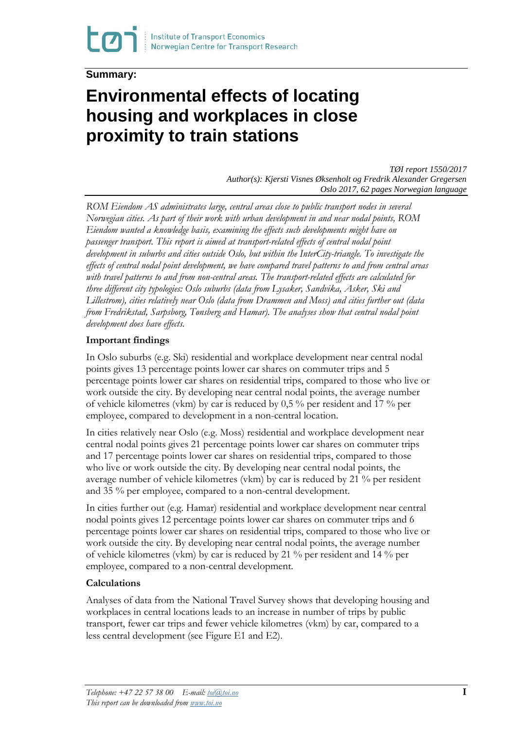## **Summary:**

# **Environmental effects of locating housing and workplaces in close proximity to train stations**

*TØI report 1550/2017 Author(s): Kjersti Visnes Øksenholt og Fredrik Alexander Gregersen Oslo 2017, 62 pages Norwegian language*

*ROM Eiendom AS administrates large, central areas close to public transport nodes in several Norwegian cities. As part of their work with urban development in and near nodal points, ROM Eiendom wanted a knowledge basis, examining the effects such developments might have on passenger transport. This report is aimed at transport-related effects of central nodal point development in suburbs and cities outside Oslo, but within the InterCity-triangle. To investigate the effects of central nodal point development, we have compared travel patterns to and from central areas with travel patterns to and from non-central areas. The transport-related effects are calculated for three different city typologies: Oslo suburbs (data from Lysaker, Sandvika, Asker, Ski and Lillestrom), cities relatively near Oslo (data from Drammen and Moss) and cities further out (data from Fredrikstad, Sarpsborg, Tønsberg and Hamar). The analyses show that central nodal point development does have effects.* 

### **Important findings**

In Oslo suburbs (e.g. Ski) residential and workplace development near central nodal points gives 13 percentage points lower car shares on commuter trips and 5 percentage points lower car shares on residential trips, compared to those who live or work outside the city. By developing near central nodal points, the average number of vehicle kilometres (vkm) by car is reduced by 0,5 % per resident and 17 % per employee, compared to development in a non-central location.

In cities relatively near Oslo (e.g. Moss) residential and workplace development near central nodal points gives 21 percentage points lower car shares on commuter trips and 17 percentage points lower car shares on residential trips, compared to those who live or work outside the city. By developing near central nodal points, the average number of vehicle kilometres (vkm) by car is reduced by 21 % per resident and 35 % per employee, compared to a non-central development.

In cities further out (e.g. Hamar) residential and workplace development near central nodal points gives 12 percentage points lower car shares on commuter trips and 6 percentage points lower car shares on residential trips, compared to those who live or work outside the city. By developing near central nodal points, the average number of vehicle kilometres (vkm) by car is reduced by 21 % per resident and 14 % per employee, compared to a non-central development.

#### **Calculations**

Analyses of data from the National Travel Survey shows that developing housing and workplaces in central locations leads to an increase in number of trips by public transport, fewer car trips and fewer vehicle kilometres (vkm) by car, compared to a less central development (see Figure E1 and E2).